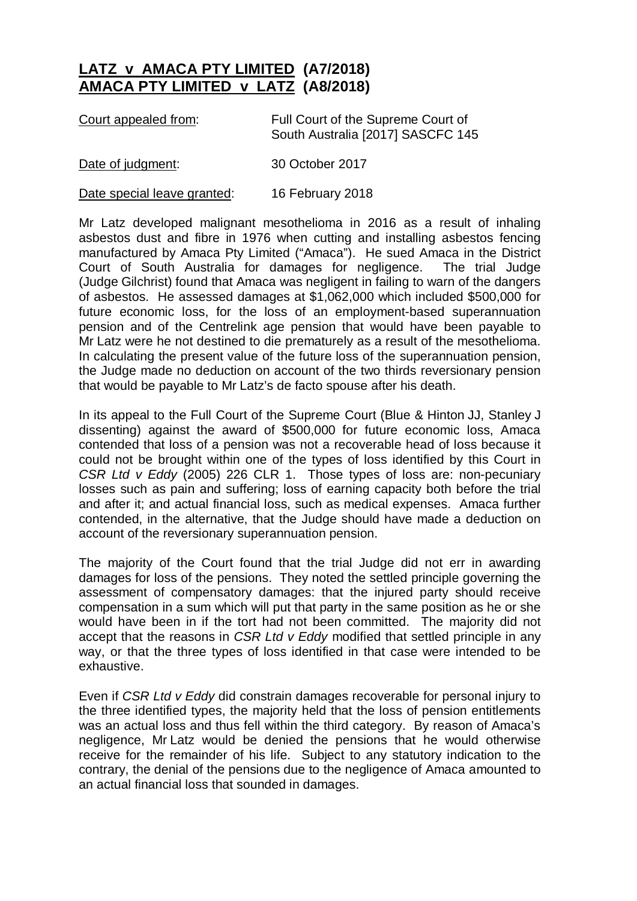## **LATZ v AMACA PTY LIMITED (A7/2018) AMACA PTY LIMITED v LATZ (A8/2018)**

| Court appealed from: | Full Court of the Supreme Court of |
|----------------------|------------------------------------|
|                      | South Australia [2017] SASCFC 145  |

Date of judgment: 30 October 2017

Date special leave granted: 16 February 2018

Mr Latz developed malignant mesothelioma in 2016 as a result of inhaling asbestos dust and fibre in 1976 when cutting and installing asbestos fencing manufactured by Amaca Pty Limited ("Amaca"). He sued Amaca in the District Court of South Australia for damages for negligence. The trial Judge (Judge Gilchrist) found that Amaca was negligent in failing to warn of the dangers of asbestos. He assessed damages at \$1,062,000 which included \$500,000 for future economic loss, for the loss of an employment-based superannuation pension and of the Centrelink age pension that would have been payable to Mr Latz were he not destined to die prematurely as a result of the mesothelioma. In calculating the present value of the future loss of the superannuation pension, the Judge made no deduction on account of the two thirds reversionary pension that would be payable to Mr Latz's de facto spouse after his death.

In its appeal to the Full Court of the Supreme Court (Blue & Hinton JJ, Stanley J dissenting) against the award of \$500,000 for future economic loss, Amaca contended that loss of a pension was not a recoverable head of loss because it could not be brought within one of the types of loss identified by this Court in *CSR Ltd v Eddy* (2005) 226 CLR 1. Those types of loss are: non-pecuniary losses such as pain and suffering; loss of earning capacity both before the trial and after it; and actual financial loss, such as medical expenses. Amaca further contended, in the alternative, that the Judge should have made a deduction on account of the reversionary superannuation pension.

The majority of the Court found that the trial Judge did not err in awarding damages for loss of the pensions. They noted the settled principle governing the assessment of compensatory damages: that the injured party should receive compensation in a sum which will put that party in the same position as he or she would have been in if the tort had not been committed. The majority did not accept that the reasons in *CSR Ltd v Eddy* modified that settled principle in any way, or that the three types of loss identified in that case were intended to be exhaustive.

Even if *CSR Ltd v Eddy* did constrain damages recoverable for personal injury to the three identified types, the majority held that the loss of pension entitlements was an actual loss and thus fell within the third category. By reason of Amaca's negligence, Mr Latz would be denied the pensions that he would otherwise receive for the remainder of his life. Subject to any statutory indication to the contrary, the denial of the pensions due to the negligence of Amaca amounted to an actual financial loss that sounded in damages.